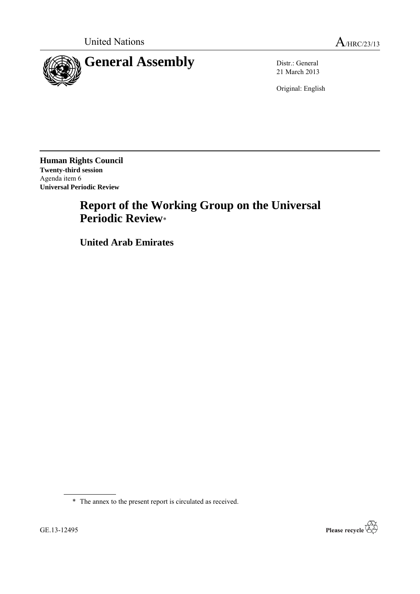

21 March 2013

Original: English

**Human Rights Council Twenty-third session** Agenda item 6 **Universal Periodic Review**

# **Report of the Working Group on the Universal Periodic Review**\*

**United Arab Emirates**

\* The annex to the present report is circulated as received.

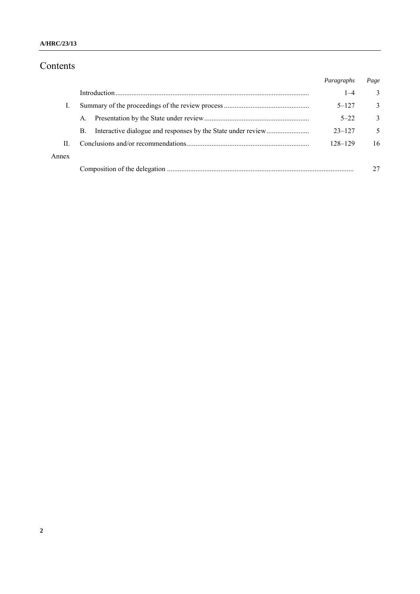### **A/HRC/23/13**

# Contents

|       |    | Paragraphs | Page         |
|-------|----|------------|--------------|
|       |    | $1 - 4$    | 3            |
|       |    | $5 - 127$  | 3            |
|       | A. | $5 - 22$   | $\mathbf{3}$ |
|       | B. | $23 - 127$ | 5            |
| П     |    | 128-129    | 16           |
| Annex |    |            |              |
|       |    |            |              |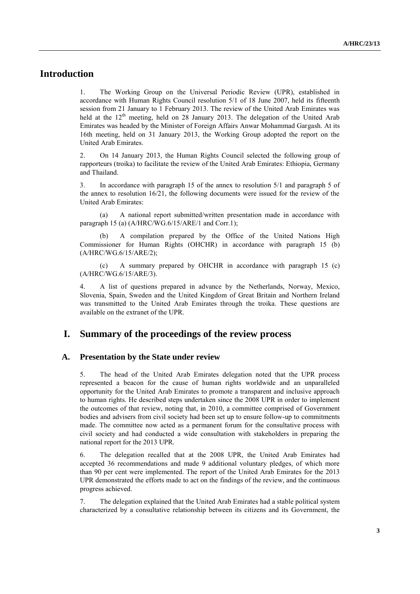# **Introduction**

1. The Working Group on the Universal Periodic Review (UPR), established in accordance with Human Rights Council resolution 5/1 of 18 June 2007, held its fifteenth session from 21 January to 1 February 2013. The review of the United Arab Emirates was held at the 12<sup>th</sup> meeting, held on 28 January 2013. The delegation of the United Arab Emirates was headed by the Minister of Foreign Affairs Anwar Mohammad Gargash. At its 16th meeting, held on 31 January 2013, the Working Group adopted the report on the United Arab Emirates.

2. On 14 January 2013, the Human Rights Council selected the following group of rapporteurs (troika) to facilitate the review of the United Arab Emirates: Ethiopia, Germany and Thailand.

3. In accordance with paragraph 15 of the annex to resolution 5/1 and paragraph 5 of the annex to resolution  $16/21$ , the following documents were issued for the review of the United Arab Emirates:

(a) A national report submitted/written presentation made in accordance with paragraph 15 (a) (A/HRC/WG.6/15/ARE/1 and Corr.1);

A compilation prepared by the Office of the United Nations High Commissioner for Human Rights (OHCHR) in accordance with paragraph 15 (b) (A/HRC/WG.6/15/ARE/2);

(c) A summary prepared by OHCHR in accordance with paragraph 15 (c) (A/HRC/WG.6/15/ARE/3).

4. A list of questions prepared in advance by the Netherlands, Norway, Mexico, Slovenia, Spain, Sweden and the United Kingdom of Great Britain and Northern Ireland was transmitted to the United Arab Emirates through the troika. These questions are available on the extranet of the UPR.

## **I. Summary of the proceedings of the review process**

#### **A. Presentation by the State under review**

5. The head of the United Arab Emirates delegation noted that the UPR process represented a beacon for the cause of human rights worldwide and an unparalleled opportunity for the United Arab Emirates to promote a transparent and inclusive approach to human rights. He described steps undertaken since the 2008 UPR in order to implement the outcomes of that review, noting that, in 2010, a committee comprised of Government bodies and advisers from civil society had been set up to ensure follow-up to commitments made. The committee now acted as a permanent forum for the consultative process with civil society and had conducted a wide consultation with stakeholders in preparing the national report for the 2013 UPR.

6. The delegation recalled that at the 2008 UPR, the United Arab Emirates had accepted 36 recommendations and made 9 additional voluntary pledges, of which more than 90 per cent were implemented. The report of the United Arab Emirates for the 2013 UPR demonstrated the efforts made to act on the findings of the review, and the continuous progress achieved.

7. The delegation explained that the United Arab Emirates had a stable political system characterized by a consultative relationship between its citizens and its Government, the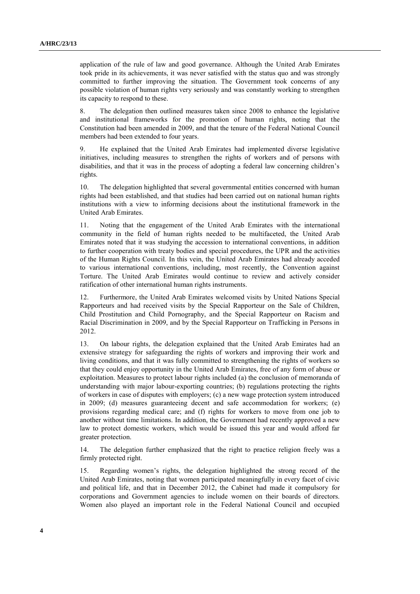application of the rule of law and good governance. Although the United Arab Emirates took pride in its achievements, it was never satisfied with the status quo and was strongly committed to further improving the situation. The Government took concerns of any possible violation of human rights very seriously and was constantly working to strengthen its capacity to respond to these.

8. The delegation then outlined measures taken since 2008 to enhance the legislative and institutional frameworks for the promotion of human rights, noting that the Constitution had been amended in 2009, and that the tenure of the Federal National Council members had been extended to four years.

9. He explained that the United Arab Emirates had implemented diverse legislative initiatives, including measures to strengthen the rights of workers and of persons with disabilities, and that it was in the process of adopting a federal law concerning children's rights.

10. The delegation highlighted that several governmental entities concerned with human rights had been established, and that studies had been carried out on national human rights institutions with a view to informing decisions about the institutional framework in the United Arab Emirates.

11. Noting that the engagement of the United Arab Emirates with the international community in the field of human rights needed to be multifaceted, the United Arab Emirates noted that it was studying the accession to international conventions, in addition to further cooperation with treaty bodies and special procedures, the UPR and the activities of the Human Rights Council. In this vein, the United Arab Emirates had already acceded to various international conventions, including, most recently, the Convention against Torture. The United Arab Emirates would continue to review and actively consider ratification of other international human rights instruments.

12. Furthermore, the United Arab Emirates welcomed visits by United Nations Special Rapporteurs and had received visits by the Special Rapporteur on the Sale of Children, Child Prostitution and Child Pornography, and the Special Rapporteur on Racism and Racial Discrimination in 2009, and by the Special Rapporteur on Trafficking in Persons in 2012.

13. On labour rights, the delegation explained that the United Arab Emirates had an extensive strategy for safeguarding the rights of workers and improving their work and living conditions, and that it was fully committed to strengthening the rights of workers so that they could enjoy opportunity in the United Arab Emirates, free of any form of abuse or exploitation. Measures to protect labour rights included (a) the conclusion of memoranda of understanding with major labour-exporting countries; (b) regulations protecting the rights of workers in case of disputes with employers; (c) a new wage protection system introduced in 2009; (d) measures guaranteeing decent and safe accommodation for workers; (e) provisions regarding medical care; and (f) rights for workers to move from one job to another without time limitations. In addition, the Government had recently approved a new law to protect domestic workers, which would be issued this year and would afford far greater protection.

14. The delegation further emphasized that the right to practice religion freely was a firmly protected right.

15. Regarding women's rights, the delegation highlighted the strong record of the United Arab Emirates, noting that women participated meaningfully in every facet of civic and political life, and that in December 2012, the Cabinet had made it compulsory for corporations and Government agencies to include women on their boards of directors. Women also played an important role in the Federal National Council and occupied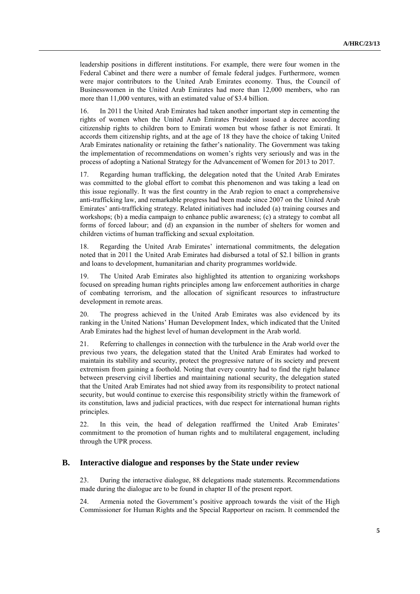leadership positions in different institutions. For example, there were four women in the Federal Cabinet and there were a number of female federal judges. Furthermore, women were major contributors to the United Arab Emirates economy. Thus, the Council of Businesswomen in the United Arab Emirates had more than 12,000 members, who ran more than 11,000 ventures, with an estimated value of \$3.4 billion.

16. In 2011 the United Arab Emirates had taken another important step in cementing the rights of women when the United Arab Emirates President issued a decree according citizenship rights to children born to Emirati women but whose father is not Emirati. It accords them citizenship rights, and at the age of 18 they have the choice of taking United Arab Emirates nationality or retaining the father's nationality. The Government was taking the implementation of recommendations on women's rights very seriously and was in the process of adopting a National Strategy for the Advancement of Women for 2013 to 2017.

17. Regarding human trafficking, the delegation noted that the United Arab Emirates was committed to the global effort to combat this phenomenon and was taking a lead on this issue regionally. It was the first country in the Arab region to enact a comprehensive anti-trafficking law, and remarkable progress had been made since 2007 on the United Arab Emirates' anti-trafficking strategy. Related initiatives had included (a) training courses and workshops; (b) a media campaign to enhance public awareness; (c) a strategy to combat all forms of forced labour; and (d) an expansion in the number of shelters for women and children victims of human trafficking and sexual exploitation.

18. Regarding the United Arab Emirates' international commitments, the delegation noted that in 2011 the United Arab Emirates had disbursed a total of \$2.1 billion in grants and loans to development, humanitarian and charity programmes worldwide.

19. The United Arab Emirates also highlighted its attention to organizing workshops focused on spreading human rights principles among law enforcement authorities in charge of combating terrorism, and the allocation of significant resources to infrastructure development in remote areas.

20. The progress achieved in the United Arab Emirates was also evidenced by its ranking in the United Nations' Human Development Index, which indicated that the United Arab Emirates had the highest level of human development in the Arab world.

21. Referring to challenges in connection with the turbulence in the Arab world over the previous two years, the delegation stated that the United Arab Emirates had worked to maintain its stability and security, protect the progressive nature of its society and prevent extremism from gaining a foothold. Noting that every country had to find the right balance between preserving civil liberties and maintaining national security, the delegation stated that the United Arab Emirates had not shied away from its responsibility to protect national security, but would continue to exercise this responsibility strictly within the framework of its constitution, laws and judicial practices, with due respect for international human rights principles.

22. In this vein, the head of delegation reaffirmed the United Arab Emirates' commitment to the promotion of human rights and to multilateral engagement, including through the UPR process.

#### **B. Interactive dialogue and responses by the State under review**

23. During the interactive dialogue, 88 delegations made statements. Recommendations made during the dialogue are to be found in chapter II of the present report.

24. Armenia noted the Government's positive approach towards the visit of the High Commissioner for Human Rights and the Special Rapporteur on racism. It commended the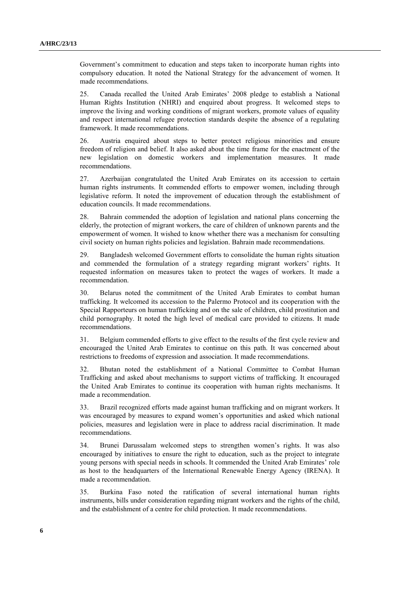Government's commitment to education and steps taken to incorporate human rights into compulsory education. It noted the National Strategy for the advancement of women. It made recommendations.

25. Canada recalled the United Arab Emirates' 2008 pledge to establish a National Human Rights Institution (NHRI) and enquired about progress. It welcomed steps to improve the living and working conditions of migrant workers, promote values of equality and respect international refugee protection standards despite the absence of a regulating framework. It made recommendations.

26. Austria enquired about steps to better protect religious minorities and ensure freedom of religion and belief. It also asked about the time frame for the enactment of the new legislation on domestic workers and implementation measures. It made recommendations.

27. Azerbaijan congratulated the United Arab Emirates on its accession to certain human rights instruments. It commended efforts to empower women, including through legislative reform. It noted the improvement of education through the establishment of education councils. It made recommendations.

28. Bahrain commended the adoption of legislation and national plans concerning the elderly, the protection of migrant workers, the care of children of unknown parents and the empowerment of women. It wished to know whether there was a mechanism for consulting civil society on human rights policies and legislation. Bahrain made recommendations.

29. Bangladesh welcomed Government efforts to consolidate the human rights situation and commended the formulation of a strategy regarding migrant workers' rights. It requested information on measures taken to protect the wages of workers. It made a recommendation.

30. Belarus noted the commitment of the United Arab Emirates to combat human trafficking. It welcomed its accession to the Palermo Protocol and its cooperation with the Special Rapporteurs on human trafficking and on the sale of children, child prostitution and child pornography. It noted the high level of medical care provided to citizens. It made recommendations.

31. Belgium commended efforts to give effect to the results of the first cycle review and encouraged the United Arab Emirates to continue on this path. It was concerned about restrictions to freedoms of expression and association. It made recommendations.

32. Bhutan noted the establishment of a National Committee to Combat Human Trafficking and asked about mechanisms to support victims of trafficking. It encouraged the United Arab Emirates to continue its cooperation with human rights mechanisms. It made a recommendation.

33. Brazil recognized efforts made against human trafficking and on migrant workers. It was encouraged by measures to expand women's opportunities and asked which national policies, measures and legislation were in place to address racial discrimination. It made recommendations.

34. Brunei Darussalam welcomed steps to strengthen women's rights. It was also encouraged by initiatives to ensure the right to education, such as the project to integrate young persons with special needs in schools. It commended the United Arab Emirates' role as host to the headquarters of the International Renewable Energy Agency (IRENA). It made a recommendation.

35. Burkina Faso noted the ratification of several international human rights instruments, bills under consideration regarding migrant workers and the rights of the child, and the establishment of a centre for child protection. It made recommendations.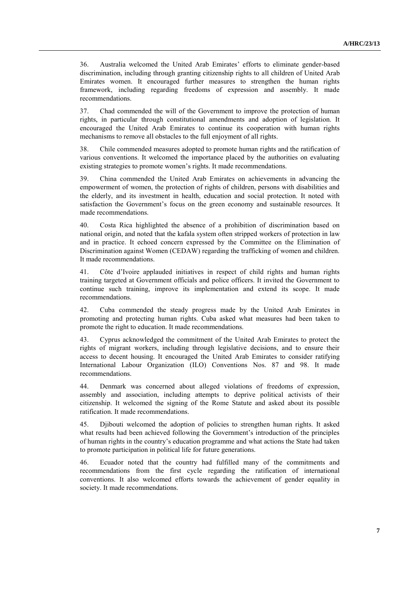36. Australia welcomed the United Arab Emirates' efforts to eliminate gender-based discrimination, including through granting citizenship rights to all children of United Arab Emirates women. It encouraged further measures to strengthen the human rights framework, including regarding freedoms of expression and assembly. It made recommendations.

37. Chad commended the will of the Government to improve the protection of human rights, in particular through constitutional amendments and adoption of legislation. It encouraged the United Arab Emirates to continue its cooperation with human rights mechanisms to remove all obstacles to the full enjoyment of all rights.

38. Chile commended measures adopted to promote human rights and the ratification of various conventions. It welcomed the importance placed by the authorities on evaluating existing strategies to promote women's rights. It made recommendations.

39. China commended the United Arab Emirates on achievements in advancing the empowerment of women, the protection of rights of children, persons with disabilities and the elderly, and its investment in health, education and social protection. It noted with satisfaction the Government's focus on the green economy and sustainable resources. It made recommendations.

40. Costa Rica highlighted the absence of a prohibition of discrimination based on national origin, and noted that the kafala system often stripped workers of protection in law and in practice. It echoed concern expressed by the Committee on the Elimination of Discrimination against Women (CEDAW) regarding the trafficking of women and children. It made recommendations.

41. Côte d'Ivoire applauded initiatives in respect of child rights and human rights training targeted at Government officials and police officers. It invited the Government to continue such training, improve its implementation and extend its scope. It made recommendations.

42. Cuba commended the steady progress made by the United Arab Emirates in promoting and protecting human rights. Cuba asked what measures had been taken to promote the right to education. It made recommendations.

43. Cyprus acknowledged the commitment of the United Arab Emirates to protect the rights of migrant workers, including through legislative decisions, and to ensure their access to decent housing. It encouraged the United Arab Emirates to consider ratifying International Labour Organization (ILO) Conventions Nos. 87 and 98. It made recommendations.

44. Denmark was concerned about alleged violations of freedoms of expression, assembly and association, including attempts to deprive political activists of their citizenship. It welcomed the signing of the Rome Statute and asked about its possible ratification. It made recommendations.

45. Djibouti welcomed the adoption of policies to strengthen human rights. It asked what results had been achieved following the Government's introduction of the principles of human rights in the country's education programme and what actions the State had taken to promote participation in political life for future generations.

46. Ecuador noted that the country had fulfilled many of the commitments and recommendations from the first cycle regarding the ratification of international conventions. It also welcomed efforts towards the achievement of gender equality in society. It made recommendations.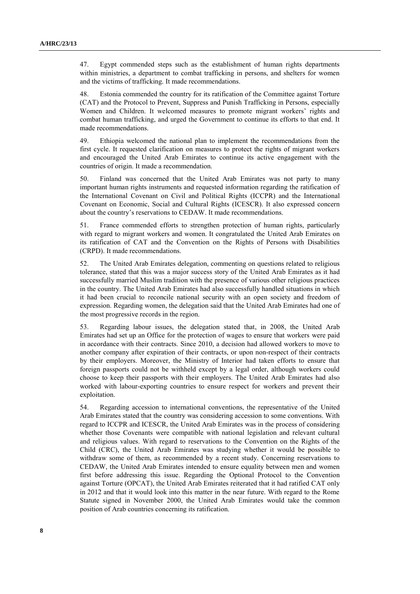47. Egypt commended steps such as the establishment of human rights departments within ministries, a department to combat trafficking in persons, and shelters for women and the victims of trafficking. It made recommendations.

48. Estonia commended the country for its ratification of the Committee against Torture (CAT) and the Protocol to Prevent, Suppress and Punish Trafficking in Persons, especially Women and Children. It welcomed measures to promote migrant workers' rights and combat human trafficking, and urged the Government to continue its efforts to that end. It made recommendations.

49. Ethiopia welcomed the national plan to implement the recommendations from the first cycle. It requested clarification on measures to protect the rights of migrant workers and encouraged the United Arab Emirates to continue its active engagement with the countries of origin. It made a recommendation.

50. Finland was concerned that the United Arab Emirates was not party to many important human rights instruments and requested information regarding the ratification of the International Covenant on Civil and Political Rights (ICCPR) and the International Covenant on Economic, Social and Cultural Rights (ICESCR). It also expressed concern about the country's reservations to CEDAW. It made recommendations.

51. France commended efforts to strengthen protection of human rights, particularly with regard to migrant workers and women. It congratulated the United Arab Emirates on its ratification of CAT and the Convention on the Rights of Persons with Disabilities (CRPD). It made recommendations.

52. The United Arab Emirates delegation, commenting on questions related to religious tolerance, stated that this was a major success story of the United Arab Emirates as it had successfully married Muslim tradition with the presence of various other religious practices in the country. The United Arab Emirates had also successfully handled situations in which it had been crucial to reconcile national security with an open society and freedom of expression. Regarding women, the delegation said that the United Arab Emirates had one of the most progressive records in the region.

53. Regarding labour issues, the delegation stated that, in 2008, the United Arab Emirates had set up an Office for the protection of wages to ensure that workers were paid in accordance with their contracts. Since 2010, a decision had allowed workers to move to another company after expiration of their contracts, or upon non-respect of their contracts by their employers. Moreover, the Ministry of Interior had taken efforts to ensure that foreign passports could not be withheld except by a legal order, although workers could choose to keep their passports with their employers. The United Arab Emirates had also worked with labour-exporting countries to ensure respect for workers and prevent their exploitation.

54. Regarding accession to international conventions, the representative of the United Arab Emirates stated that the country was considering accession to some conventions. With regard to ICCPR and ICESCR, the United Arab Emirates was in the process of considering whether those Covenants were compatible with national legislation and relevant cultural and religious values. With regard to reservations to the Convention on the Rights of the Child (CRC), the United Arab Emirates was studying whether it would be possible to withdraw some of them, as recommended by a recent study. Concerning reservations to CEDAW, the United Arab Emirates intended to ensure equality between men and women first before addressing this issue. Regarding the Optional Protocol to the Convention against Torture (OPCAT), the United Arab Emirates reiterated that it had ratified CAT only in 2012 and that it would look into this matter in the near future. With regard to the Rome Statute signed in November 2000, the United Arab Emirates would take the common position of Arab countries concerning its ratification.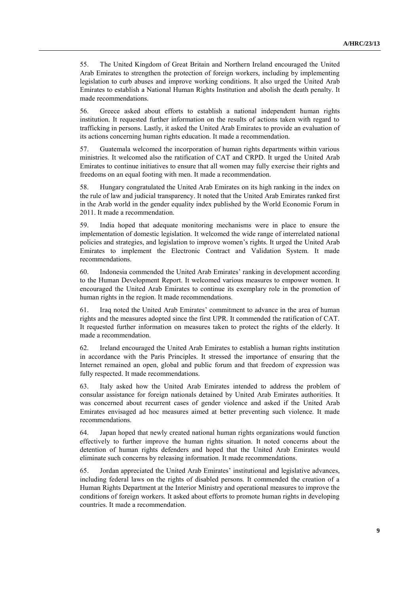55. The United Kingdom of Great Britain and Northern Ireland encouraged the United Arab Emirates to strengthen the protection of foreign workers, including by implementing legislation to curb abuses and improve working conditions. It also urged the United Arab Emirates to establish a National Human Rights Institution and abolish the death penalty. It made recommendations.

56. Greece asked about efforts to establish a national independent human rights institution. It requested further information on the results of actions taken with regard to trafficking in persons. Lastly, it asked the United Arab Emirates to provide an evaluation of its actions concerning human rights education. It made a recommendation.

57. Guatemala welcomed the incorporation of human rights departments within various ministries. It welcomed also the ratification of CAT and CRPD. It urged the United Arab Emirates to continue initiatives to ensure that all women may fully exercise their rights and freedoms on an equal footing with men. It made a recommendation.

58. Hungary congratulated the United Arab Emirates on its high ranking in the index on the rule of law and judicial transparency. It noted that the United Arab Emirates ranked first in the Arab world in the gender equality index published by the World Economic Forum in 2011. It made a recommendation.

59. India hoped that adequate monitoring mechanisms were in place to ensure the implementation of domestic legislation. It welcomed the wide range of interrelated national policies and strategies, and legislation to improve women's rights. It urged the United Arab Emirates to implement the Electronic Contract and Validation System. It made recommendations.

60. Indonesia commended the United Arab Emirates' ranking in development according to the Human Development Report. It welcomed various measures to empower women. It encouraged the United Arab Emirates to continue its exemplary role in the promotion of human rights in the region. It made recommendations.

61. Iraq noted the United Arab Emirates' commitment to advance in the area of human rights and the measures adopted since the first UPR. It commended the ratification of CAT. It requested further information on measures taken to protect the rights of the elderly. It made a recommendation.

62. Ireland encouraged the United Arab Emirates to establish a human rights institution in accordance with the Paris Principles. It stressed the importance of ensuring that the Internet remained an open, global and public forum and that freedom of expression was fully respected. It made recommendations.

63. Italy asked how the United Arab Emirates intended to address the problem of consular assistance for foreign nationals detained by United Arab Emirates authorities. It was concerned about recurrent cases of gender violence and asked if the United Arab Emirates envisaged ad hoc measures aimed at better preventing such violence. It made recommendations.

64. Japan hoped that newly created national human rights organizations would function effectively to further improve the human rights situation. It noted concerns about the detention of human rights defenders and hoped that the United Arab Emirates would eliminate such concerns by releasing information. It made recommendations.

65. Jordan appreciated the United Arab Emirates' institutional and legislative advances, including federal laws on the rights of disabled persons. It commended the creation of a Human Rights Department at the Interior Ministry and operational measures to improve the conditions of foreign workers. It asked about efforts to promote human rights in developing countries. It made a recommendation.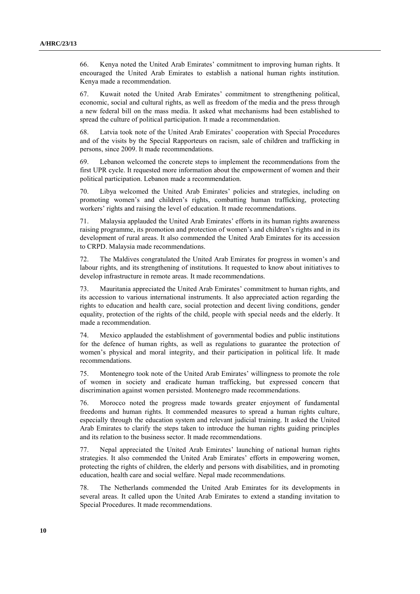66. Kenya noted the United Arab Emirates' commitment to improving human rights. It encouraged the United Arab Emirates to establish a national human rights institution. Kenya made a recommendation.

67. Kuwait noted the United Arab Emirates' commitment to strengthening political, economic, social and cultural rights, as well as freedom of the media and the press through a new federal bill on the mass media. It asked what mechanisms had been established to spread the culture of political participation. It made a recommendation.

68. Latvia took note of the United Arab Emirates' cooperation with Special Procedures and of the visits by the Special Rapporteurs on racism, sale of children and trafficking in persons, since 2009. It made recommendations.

69. Lebanon welcomed the concrete steps to implement the recommendations from the first UPR cycle. It requested more information about the empowerment of women and their political participation. Lebanon made a recommendation.

70. Libya welcomed the United Arab Emirates' policies and strategies, including on promoting women's and children's rights, combatting human trafficking, protecting workers' rights and raising the level of education. It made recommendations.

71. Malaysia applauded the United Arab Emirates' efforts in its human rights awareness raising programme, its promotion and protection of women's and children's rights and in its development of rural areas. It also commended the United Arab Emirates for its accession to CRPD. Malaysia made recommendations.

72. The Maldives congratulated the United Arab Emirates for progress in women's and labour rights, and its strengthening of institutions. It requested to know about initiatives to develop infrastructure in remote areas. It made recommendations.

73. Mauritania appreciated the United Arab Emirates' commitment to human rights, and its accession to various international instruments. It also appreciated action regarding the rights to education and health care, social protection and decent living conditions, gender equality, protection of the rights of the child, people with special needs and the elderly. It made a recommendation.

74. Mexico applauded the establishment of governmental bodies and public institutions for the defence of human rights, as well as regulations to guarantee the protection of women's physical and moral integrity, and their participation in political life. It made recommendations.

75. Montenegro took note of the United Arab Emirates' willingness to promote the role of women in society and eradicate human trafficking, but expressed concern that discrimination against women persisted. Montenegro made recommendations.

76. Morocco noted the progress made towards greater enjoyment of fundamental freedoms and human rights. It commended measures to spread a human rights culture, especially through the education system and relevant judicial training. It asked the United Arab Emirates to clarify the steps taken to introduce the human rights guiding principles and its relation to the business sector. It made recommendations.

77. Nepal appreciated the United Arab Emirates' launching of national human rights strategies. It also commended the United Arab Emirates' efforts in empowering women, protecting the rights of children, the elderly and persons with disabilities, and in promoting education, health care and social welfare. Nepal made recommendations.

78. The Netherlands commended the United Arab Emirates for its developments in several areas. It called upon the United Arab Emirates to extend a standing invitation to Special Procedures. It made recommendations.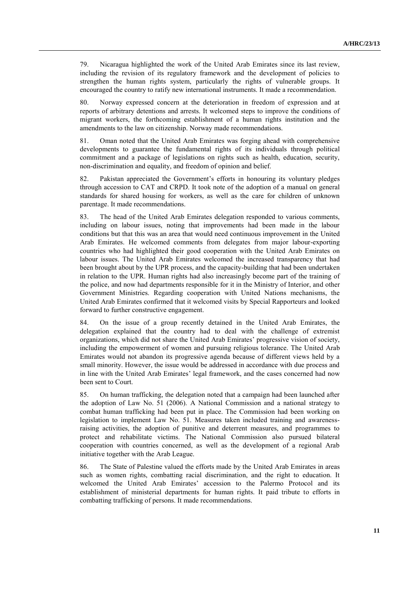79. Nicaragua highlighted the work of the United Arab Emirates since its last review, including the revision of its regulatory framework and the development of policies to strengthen the human rights system, particularly the rights of vulnerable groups. It encouraged the country to ratify new international instruments. It made a recommendation.

80. Norway expressed concern at the deterioration in freedom of expression and at reports of arbitrary detentions and arrests. It welcomed steps to improve the conditions of migrant workers, the forthcoming establishment of a human rights institution and the amendments to the law on citizenship. Norway made recommendations.

81. Oman noted that the United Arab Emirates was forging ahead with comprehensive developments to guarantee the fundamental rights of its individuals through political commitment and a package of legislations on rights such as health, education, security, non-discrimination and equality, and freedom of opinion and belief.

82. Pakistan appreciated the Government's efforts in honouring its voluntary pledges through accession to CAT and CRPD. It took note of the adoption of a manual on general standards for shared housing for workers, as well as the care for children of unknown parentage. It made recommendations.

83. The head of the United Arab Emirates delegation responded to various comments, including on labour issues, noting that improvements had been made in the labour conditions but that this was an area that would need continuous improvement in the United Arab Emirates. He welcomed comments from delegates from major labour-exporting countries who had highlighted their good cooperation with the United Arab Emirates on labour issues. The United Arab Emirates welcomed the increased transparency that had been brought about by the UPR process, and the capacity-building that had been undertaken in relation to the UPR. Human rights had also increasingly become part of the training of the police, and now had departments responsible for it in the Ministry of Interior, and other Government Ministries. Regarding cooperation with United Nations mechanisms, the United Arab Emirates confirmed that it welcomed visits by Special Rapporteurs and looked forward to further constructive engagement.

84. On the issue of a group recently detained in the United Arab Emirates, the delegation explained that the country had to deal with the challenge of extremist organizations, which did not share the United Arab Emirates' progressive vision of society, including the empowerment of women and pursuing religious tolerance. The United Arab Emirates would not abandon its progressive agenda because of different views held by a small minority. However, the issue would be addressed in accordance with due process and in line with the United Arab Emirates' legal framework, and the cases concerned had now been sent to Court.

85. On human trafficking, the delegation noted that a campaign had been launched after the adoption of Law No. 51 (2006). A National Commission and a national strategy to combat human trafficking had been put in place. The Commission had been working on legislation to implement Law No. 51. Measures taken included training and awarenessraising activities, the adoption of punitive and deterrent measures, and programmes to protect and rehabilitate victims. The National Commission also pursued bilateral cooperation with countries concerned, as well as the development of a regional Arab initiative together with the Arab League.

86. The State of Palestine valued the efforts made by the United Arab Emirates in areas such as women rights, combatting racial discrimination, and the right to education. It welcomed the United Arab Emirates' accession to the Palermo Protocol and its establishment of ministerial departments for human rights. It paid tribute to efforts in combatting trafficking of persons. It made recommendations.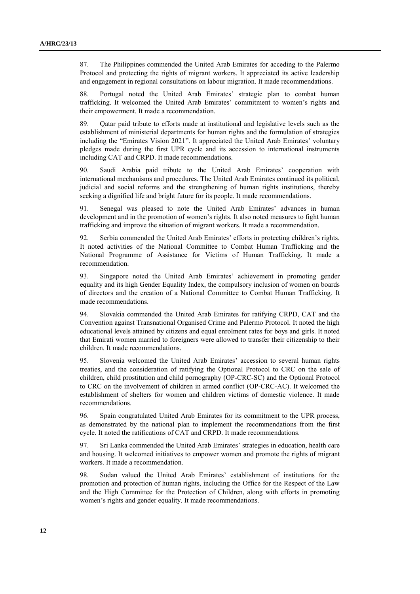87. The Philippines commended the United Arab Emirates for acceding to the Palermo Protocol and protecting the rights of migrant workers. It appreciated its active leadership and engagement in regional consultations on labour migration. It made recommendations.

88. Portugal noted the United Arab Emirates' strategic plan to combat human trafficking. It welcomed the United Arab Emirates' commitment to women's rights and their empowerment. It made a recommendation.

89. Qatar paid tribute to efforts made at institutional and legislative levels such as the establishment of ministerial departments for human rights and the formulation of strategies including the "Emirates Vision 2021". It appreciated the United Arab Emirates' voluntary pledges made during the first UPR cycle and its accession to international instruments including CAT and CRPD. It made recommendations.

90. Saudi Arabia paid tribute to the United Arab Emirates' cooperation with international mechanisms and procedures. The United Arab Emirates continued its political, judicial and social reforms and the strengthening of human rights institutions, thereby seeking a dignified life and bright future for its people. It made recommendations.

91. Senegal was pleased to note the United Arab Emirates' advances in human development and in the promotion of women's rights. It also noted measures to fight human trafficking and improve the situation of migrant workers. It made a recommendation.

92. Serbia commended the United Arab Emirates' efforts in protecting children's rights. It noted activities of the National Committee to Combat Human Trafficking and the National Programme of Assistance for Victims of Human Trafficking. It made a recommendation.

93. Singapore noted the United Arab Emirates' achievement in promoting gender equality and its high Gender Equality Index, the compulsory inclusion of women on boards of directors and the creation of a National Committee to Combat Human Trafficking. It made recommendations.

94. Slovakia commended the United Arab Emirates for ratifying CRPD, CAT and the Convention against Transnational Organised Crime and Palermo Protocol. It noted the high educational levels attained by citizens and equal enrolment rates for boys and girls. It noted that Emirati women married to foreigners were allowed to transfer their citizenship to their children. It made recommendations.

95. Slovenia welcomed the United Arab Emirates' accession to several human rights treaties, and the consideration of ratifying the Optional Protocol to CRC on the sale of children, child prostitution and child pornography (OP-CRC-SC) and the Optional Protocol to CRC on the involvement of children in armed conflict (OP-CRC-AC). It welcomed the establishment of shelters for women and children victims of domestic violence. It made recommendations.

96. Spain congratulated United Arab Emirates for its commitment to the UPR process, as demonstrated by the national plan to implement the recommendations from the first cycle. It noted the ratifications of CAT and CRPD. It made recommendations.

97. Sri Lanka commended the United Arab Emirates' strategies in education, health care and housing. It welcomed initiatives to empower women and promote the rights of migrant workers. It made a recommendation.

98. Sudan valued the United Arab Emirates' establishment of institutions for the promotion and protection of human rights, including the Office for the Respect of the Law and the High Committee for the Protection of Children, along with efforts in promoting women's rights and gender equality. It made recommendations.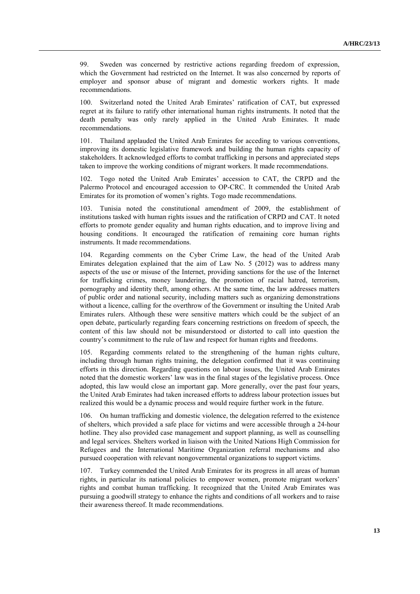99. Sweden was concerned by restrictive actions regarding freedom of expression, which the Government had restricted on the Internet. It was also concerned by reports of employer and sponsor abuse of migrant and domestic workers rights. It made recommendations.

100. Switzerland noted the United Arab Emirates' ratification of CAT, but expressed regret at its failure to ratify other international human rights instruments. It noted that the death penalty was only rarely applied in the United Arab Emirates. It made recommendations.

101. Thailand applauded the United Arab Emirates for acceding to various conventions, improving its domestic legislative framework and building the human rights capacity of stakeholders. It acknowledged efforts to combat trafficking in persons and appreciated steps taken to improve the working conditions of migrant workers. It made recommendations.

102. Togo noted the United Arab Emirates' accession to CAT, the CRPD and the Palermo Protocol and encouraged accession to OP-CRC. It commended the United Arab Emirates for its promotion of women's rights. Togo made recommendations.

103. Tunisia noted the constitutional amendment of 2009, the establishment of institutions tasked with human rights issues and the ratification of CRPD and CAT. It noted efforts to promote gender equality and human rights education, and to improve living and housing conditions. It encouraged the ratification of remaining core human rights instruments. It made recommendations.

104. Regarding comments on the Cyber Crime Law, the head of the United Arab Emirates delegation explained that the aim of Law No. 5 (2012) was to address many aspects of the use or misuse of the Internet, providing sanctions for the use of the Internet for trafficking crimes, money laundering, the promotion of racial hatred, terrorism, pornography and identity theft, among others. At the same time, the law addresses matters of public order and national security, including matters such as organizing demonstrations without a licence, calling for the overthrow of the Government or insulting the United Arab Emirates rulers. Although these were sensitive matters which could be the subject of an open debate, particularly regarding fears concerning restrictions on freedom of speech, the content of this law should not be misunderstood or distorted to call into question the country's commitment to the rule of law and respect for human rights and freedoms.

105. Regarding comments related to the strengthening of the human rights culture, including through human rights training, the delegation confirmed that it was continuing efforts in this direction. Regarding questions on labour issues, the United Arab Emirates noted that the domestic workers' law was in the final stages of the legislative process. Once adopted, this law would close an important gap. More generally, over the past four years, the United Arab Emirates had taken increased efforts to address labour protection issues but realized this would be a dynamic process and would require further work in the future.

106. On human trafficking and domestic violence, the delegation referred to the existence of shelters, which provided a safe place for victims and were accessible through a 24-hour hotline. They also provided case management and support planning, as well as counselling and legal services. Shelters worked in liaison with the United Nations High Commission for Refugees and the International Maritime Organization referral mechanisms and also pursued cooperation with relevant nongovernmental organizations to support victims.

107. Turkey commended the United Arab Emirates for its progress in all areas of human rights, in particular its national policies to empower women, promote migrant workers' rights and combat human trafficking. It recognized that the United Arab Emirates was pursuing a goodwill strategy to enhance the rights and conditions of all workers and to raise their awareness thereof. It made recommendations.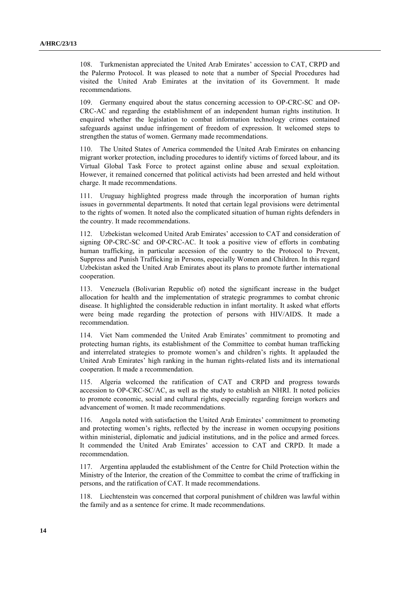108. Turkmenistan appreciated the United Arab Emirates' accession to CAT, CRPD and the Palermo Protocol. It was pleased to note that a number of Special Procedures had visited the United Arab Emirates at the invitation of its Government. It made recommendations.

109. Germany enquired about the status concerning accession to OP-CRC-SC and OP-CRC-AC and regarding the establishment of an independent human rights institution. It enquired whether the legislation to combat information technology crimes contained safeguards against undue infringement of freedom of expression. It welcomed steps to strengthen the status of women. Germany made recommendations.

110. The United States of America commended the United Arab Emirates on enhancing migrant worker protection, including procedures to identify victims of forced labour, and its Virtual Global Task Force to protect against online abuse and sexual exploitation. However, it remained concerned that political activists had been arrested and held without charge. It made recommendations.

111. Uruguay highlighted progress made through the incorporation of human rights issues in governmental departments. It noted that certain legal provisions were detrimental to the rights of women. It noted also the complicated situation of human rights defenders in the country. It made recommendations.

112. Uzbekistan welcomed United Arab Emirates' accession to CAT and consideration of signing OP-CRC-SC and OP-CRC-AC. It took a positive view of efforts in combating human trafficking, in particular accession of the country to the Protocol to Prevent, Suppress and Punish Trafficking in Persons, especially Women and Children. In this regard Uzbekistan asked the United Arab Emirates about its plans to promote further international cooperation.

113. Venezuela (Bolivarian Republic of) noted the significant increase in the budget allocation for health and the implementation of strategic programmes to combat chronic disease. It highlighted the considerable reduction in infant mortality. It asked what efforts were being made regarding the protection of persons with HIV/AIDS. It made a recommendation.

114. Viet Nam commended the United Arab Emirates' commitment to promoting and protecting human rights, its establishment of the Committee to combat human trafficking and interrelated strategies to promote women's and children's rights. It applauded the United Arab Emirates' high ranking in the human rights-related lists and its international cooperation. It made a recommendation.

115. Algeria welcomed the ratification of CAT and CRPD and progress towards accession to OP-CRC-SC/AC, as well as the study to establish an NHRI. It noted policies to promote economic, social and cultural rights, especially regarding foreign workers and advancement of women. It made recommendations.

116. Angola noted with satisfaction the United Arab Emirates' commitment to promoting and protecting women's rights, reflected by the increase in women occupying positions within ministerial, diplomatic and judicial institutions, and in the police and armed forces. It commended the United Arab Emirates' accession to CAT and CRPD. It made a recommendation.

117. Argentina applauded the establishment of the Centre for Child Protection within the Ministry of the Interior, the creation of the Committee to combat the crime of trafficking in persons, and the ratification of CAT. It made recommendations.

118. Liechtenstein was concerned that corporal punishment of children was lawful within the family and as a sentence for crime. It made recommendations.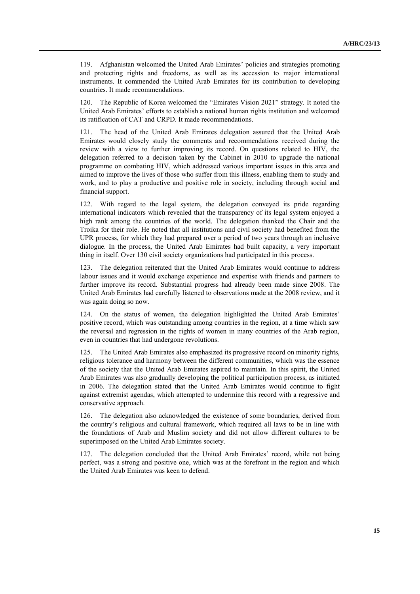119. Afghanistan welcomed the United Arab Emirates' policies and strategies promoting and protecting rights and freedoms, as well as its accession to major international instruments. It commended the United Arab Emirates for its contribution to developing countries. It made recommendations.

The Republic of Korea welcomed the "Emirates Vision 2021" strategy. It noted the United Arab Emirates' efforts to establish a national human rights institution and welcomed its ratification of CAT and CRPD. It made recommendations.

121. The head of the United Arab Emirates delegation assured that the United Arab Emirates would closely study the comments and recommendations received during the review with a view to further improving its record. On questions related to HIV, the delegation referred to a decision taken by the Cabinet in 2010 to upgrade the national programme on combating HIV, which addressed various important issues in this area and aimed to improve the lives of those who suffer from this illness, enabling them to study and work, and to play a productive and positive role in society, including through social and financial support.

122. With regard to the legal system, the delegation conveyed its pride regarding international indicators which revealed that the transparency of its legal system enjoyed a high rank among the countries of the world. The delegation thanked the Chair and the Troika for their role. He noted that all institutions and civil society had benefited from the UPR process, for which they had prepared over a period of two years through an inclusive dialogue. In the process, the United Arab Emirates had built capacity, a very important thing in itself. Over 130 civil society organizations had participated in this process.

123. The delegation reiterated that the United Arab Emirates would continue to address labour issues and it would exchange experience and expertise with friends and partners to further improve its record. Substantial progress had already been made since 2008. The United Arab Emirates had carefully listened to observations made at the 2008 review, and it was again doing so now.

124. On the status of women, the delegation highlighted the United Arab Emirates' positive record, which was outstanding among countries in the region, at a time which saw the reversal and regression in the rights of women in many countries of the Arab region, even in countries that had undergone revolutions.

125. The United Arab Emirates also emphasized its progressive record on minority rights, religious tolerance and harmony between the different communities, which was the essence of the society that the United Arab Emirates aspired to maintain. In this spirit, the United Arab Emirates was also gradually developing the political participation process, as initiated in 2006. The delegation stated that the United Arab Emirates would continue to fight against extremist agendas, which attempted to undermine this record with a regressive and conservative approach.

126. The delegation also acknowledged the existence of some boundaries, derived from the country's religious and cultural framework, which required all laws to be in line with the foundations of Arab and Muslim society and did not allow different cultures to be superimposed on the United Arab Emirates society.

127. The delegation concluded that the United Arab Emirates' record, while not being perfect, was a strong and positive one, which was at the forefront in the region and which the United Arab Emirates was keen to defend.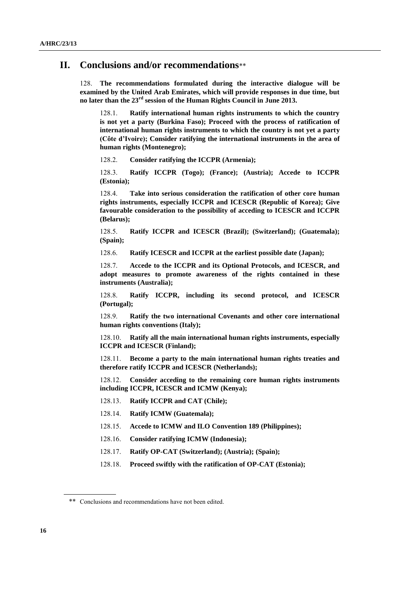### **II. Conclusions and/or recommendations**\*\*

128. **The recommendations formulated during the interactive dialogue will be examined by the United Arab Emirates, which will provide responses in due time, but no later than the 23rd session of the Human Rights Council in June 2013.**

128.1. **Ratify international human rights instruments to which the country is not yet a party (Burkina Faso); Proceed with the process of ratification of international human rights instruments to which the country is not yet a party (Côte d'Ivoire); Consider ratifying the international instruments in the area of human rights (Montenegro);**

128.2. **Consider ratifying the ICCPR (Armenia);**

128.3. **Ratify ICCPR (Togo); (France); (Austria); Accede to ICCPR (Estonia);**

128.4. **Take into serious consideration the ratification of other core human rights instruments, especially ICCPR and ICESCR (Republic of Korea); Give favourable consideration to the possibility of acceding to ICESCR and ICCPR (Belarus);**

128.5. **Ratify ICCPR and ICESCR (Brazil); (Switzerland); (Guatemala); (Spain);**

128.6. **Ratify ICESCR and ICCPR at the earliest possible date (Japan);**

128.7. **Accede to the ICCPR and its Optional Protocols, and ICESCR, and adopt measures to promote awareness of the rights contained in these instruments (Australia);**

128.8. **Ratify ICCPR, including its second protocol, and ICESCR (Portugal);**

128.9. **Ratify the two international Covenants and other core international human rights conventions (Italy);**

128.10. **Ratify all the main international human rights instruments, especially ICCPR and ICESCR (Finland);**

128.11. **Become a party to the main international human rights treaties and therefore ratify ICCPR and ICESCR (Netherlands);**

128.12. **Consider acceding to the remaining core human rights instruments including ICCPR, ICESCR and ICMW (Kenya);**

- 128.13. **Ratify ICCPR and CAT (Chile);**
- 128.14. **Ratify ICMW (Guatemala);**
- 128.15. **Accede to ICMW and ILO Convention 189 (Philippines);**
- 128.16. **Consider ratifying ICMW (Indonesia);**
- 128.17. **Ratify OP-CAT (Switzerland); (Austria); (Spain);**
- 128.18. **Proceed swiftly with the ratification of OP-CAT (Estonia);**

<sup>\*\*</sup> Conclusions and recommendations have not been edited.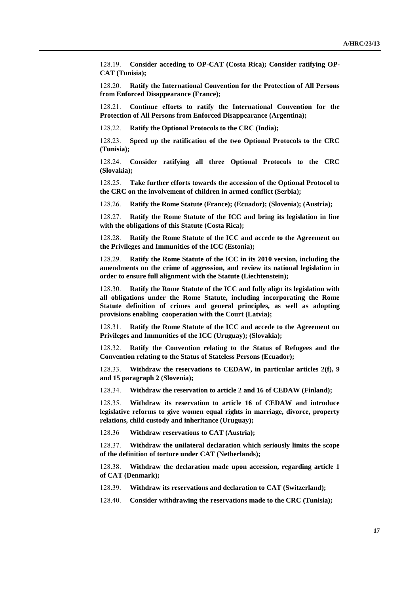128.19. **Consider acceding to OP-CAT (Costa Rica); Consider ratifying OP-CAT (Tunisia);**

128.20. **Ratify the International Convention for the Protection of All Persons from Enforced Disappearance (France);**

128.21. **Continue efforts to ratify the International Convention for the Protection of All Persons from Enforced Disappearance (Argentina);**

128.22. **Ratify the Optional Protocols to the CRC (India);**

128.23. **Speed up the ratification of the two Optional Protocols to the CRC (Tunisia);**

128.24. **Consider ratifying all three Optional Protocols to the CRC (Slovakia);**

128.25. **Take further efforts towards the accession of the Optional Protocol to the CRC on the involvement of children in armed conflict (Serbia);**

128.26. **Ratify the Rome Statute (France); (Ecuador); (Slovenia); (Austria);**

128.27. **Ratify the Rome Statute of the ICC and bring its legislation in line with the obligations of this Statute (Costa Rica);**

128.28. **Ratify the Rome Statute of the ICC and accede to the Agreement on the Privileges and Immunities of the ICC (Estonia);**

128.29. **Ratify the Rome Statute of the ICC in its 2010 version, including the amendments on the crime of aggression, and review its national legislation in order to ensure full alignment with the Statute (Liechtenstein);**

128.30. **Ratify the Rome Statute of the ICC and fully align its legislation with all obligations under the Rome Statute, including incorporating the Rome Statute definition of crimes and general principles, as well as adopting provisions enabling cooperation with the Court (Latvia);**

128.31. **Ratify the Rome Statute of the ICC and accede to the Agreement on Privileges and Immunities of the ICC (Uruguay); (Slovakia);**

128.32. **Ratify the Convention relating to the Status of Refugees and the Convention relating to the Status of Stateless Persons (Ecuador);**

128.33. **Withdraw the reservations to CEDAW, in particular articles 2(f), 9 and 15 paragraph 2 (Slovenia);**

128.34. **Withdraw the reservation to article 2 and 16 of CEDAW (Finland);**

128.35. **Withdraw its reservation to article 16 of CEDAW and introduce legislative reforms to give women equal rights in marriage, divorce, property relations, child custody and inheritance (Uruguay);**

128.36 **Withdraw reservations to CAT (Austria);**

128.37. **Withdraw the unilateral declaration which seriously limits the scope of the definition of torture under CAT (Netherlands);**

128.38. **Withdraw the declaration made upon accession, regarding article 1 of CAT (Denmark);**

128.39. **Withdraw its reservations and declaration to CAT (Switzerland);**

128.40. **Consider withdrawing the reservations made to the CRC (Tunisia);**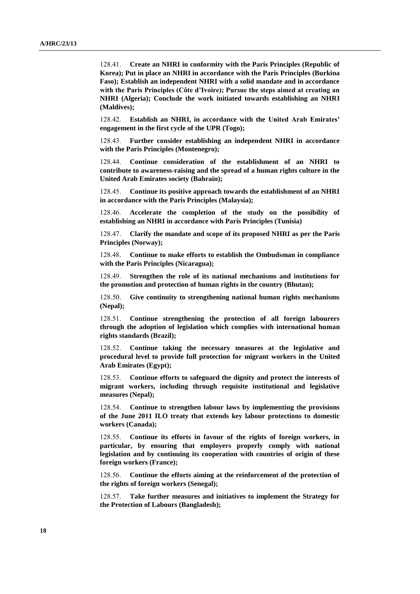128.41. **Create an NHRI in conformity with the Paris Principles (Republic of Korea); Put in place an NHRI in accordance with the Paris Principles (Burkina Faso); Establish an independent NHRI with a solid mandate and in accordance with the Paris Principles (Côte d'Ivoire); Pursue the steps aimed at creating an NHRI (Algeria); Conclude the work initiated towards establishing an NHRI (Maldives);**

128.42. **Establish an NHRI, in accordance with the United Arab Emirates' engagement in the first cycle of the UPR (Togo);**

128.43. **Further consider establishing an independent NHRI in accordance with the Paris Principles (Montenegro);**

128.44. **Continue consideration of the establishment of an NHRI to contribute to awareness-raising and the spread of a human rights culture in the United Arab Emirates society (Bahrain);**

128.45. **Continue its positive approach towards the establishment of an NHRI in accordance with the Paris Principles (Malaysia);**

128.46. **Accelerate the completion of the study on the possibility of establishing an NHRI in accordance with Paris Principles (Tunisia)**

128.47. **Clarify the mandate and scope of its proposed NHRI as per the Paris Principles (Norway);**

128.48. **Continue to make efforts to establish the Ombudsman in compliance with the Paris Principles (Nicaragua);**

128.49. **Strengthen the role of its national mechanisms and institutions for the promotion and protection of human rights in the country (Bhutan);**

128.50. **Give continuity to strengthening national human rights mechanisms (Nepal);**

128.51. **Continue strengthening the protection of all foreign labourers through the adoption of legislation which complies with international human rights standards (Brazil);**

128.52. **Continue taking the necessary measures at the legislative and procedural level to provide full protection for migrant workers in the United Arab Emirates (Egypt);**

128.53. **Continue efforts to safeguard the dignity and protect the interests of migrant workers, including through requisite institutional and legislative measures (Nepal);**

128.54. **Continue to strengthen labour laws by implementing the provisions of the June 2011 ILO treaty that extends key labour protections to domestic workers (Canada);**

128.55. **Continue its efforts in favour of the rights of foreign workers, in particular, by ensuring that employers properly comply with national legislation and by continuing its cooperation with countries of origin of these foreign workers (France);**

128.56. **Continue the efforts aiming at the reinforcement of the protection of the rights of foreign workers (Senegal);**

128.57. **Take further measures and initiatives to implement the Strategy for the Protection of Labours (Bangladesh);**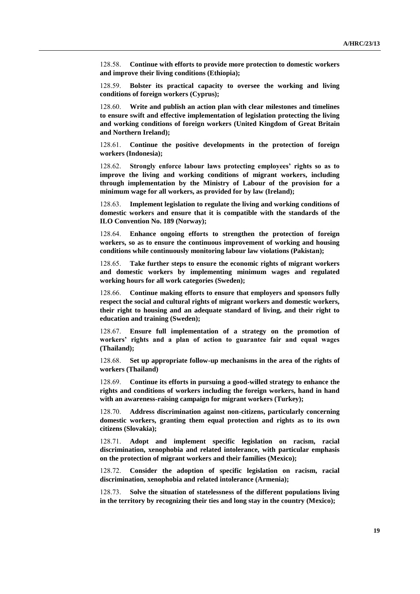128.58. **Continue with efforts to provide more protection to domestic workers and improve their living conditions (Ethiopia);**

128.59. **Bolster its practical capacity to oversee the working and living conditions of foreign workers (Cyprus);**

128.60. **Write and publish an action plan with clear milestones and timelines to ensure swift and effective implementation of legislation protecting the living and working conditions of foreign workers (United Kingdom of Great Britain and Northern Ireland);**

128.61. **Continue the positive developments in the protection of foreign workers (Indonesia);**

128.62. **Strongly enforce labour laws protecting employees' rights so as to improve the living and working conditions of migrant workers, including through implementation by the Ministry of Labour of the provision for a minimum wage for all workers, as provided for by law (Ireland);**

128.63. **Implement legislation to regulate the living and working conditions of domestic workers and ensure that it is compatible with the standards of the ILO Convention No. 189 (Norway);**

128.64. **Enhance ongoing efforts to strengthen the protection of foreign workers, so as to ensure the continuous improvement of working and housing conditions while continuously monitoring labour law violations (Pakistan);**

128.65. **Take further steps to ensure the economic rights of migrant workers and domestic workers by implementing minimum wages and regulated working hours for all work categories (Sweden);**

128.66. **Continue making efforts to ensure that employers and sponsors fully respect the social and cultural rights of migrant workers and domestic workers, their right to housing and an adequate standard of living, and their right to education and training (Sweden);**

128.67. **Ensure full implementation of a strategy on the promotion of workers' rights and a plan of action to guarantee fair and equal wages (Thailand);**

128.68. **Set up appropriate follow-up mechanisms in the area of the rights of workers (Thailand)**

128.69. **Continue its efforts in pursuing a good-willed strategy to enhance the rights and conditions of workers including the foreign workers, hand in hand with an awareness-raising campaign for migrant workers (Turkey);**

128.70. **Address discrimination against non-citizens, particularly concerning domestic workers, granting them equal protection and rights as to its own citizens (Slovakia);**

128.71. **Adopt and implement specific legislation on racism, racial discrimination, xenophobia and related intolerance, with particular emphasis on the protection of migrant workers and their families (Mexico);**

128.72. **Consider the adoption of specific legislation on racism, racial discrimination, xenophobia and related intolerance (Armenia);**

128.73. **Solve the situation of statelessness of the different populations living in the territory by recognizing their ties and long stay in the country (Mexico);**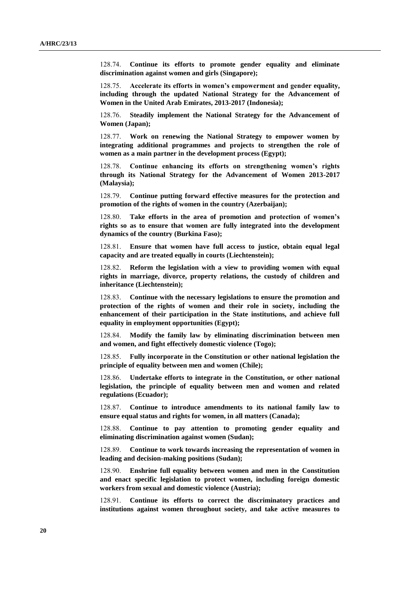128.74. **Continue its efforts to promote gender equality and eliminate discrimination against women and girls (Singapore);**

128.75. **Accelerate its efforts in women's empowerment and gender equality, including through the updated National Strategy for the Advancement of Women in the United Arab Emirates, 2013-2017 (Indonesia);**

128.76. **Steadily implement the National Strategy for the Advancement of Women (Japan);**

128.77. **Work on renewing the National Strategy to empower women by integrating additional programmes and projects to strengthen the role of women as a main partner in the development process (Egypt);**

128.78. **Continue enhancing its efforts on strengthening women's rights through its National Strategy for the Advancement of Women 2013-2017 (Malaysia);**

128.79. **Continue putting forward effective measures for the protection and promotion of the rights of women in the country (Azerbaijan);**

128.80. **Take efforts in the area of promotion and protection of women's rights so as to ensure that women are fully integrated into the development dynamics of the country (Burkina Faso);**

128.81. **Ensure that women have full access to justice, obtain equal legal capacity and are treated equally in courts (Liechtenstein);**

128.82. **Reform the legislation with a view to providing women with equal rights in marriage, divorce, property relations, the custody of children and inheritance (Liechtenstein);**

128.83. **Continue with the necessary legislations to ensure the promotion and protection of the rights of women and their role in society, including the enhancement of their participation in the State institutions, and achieve full equality in employment opportunities (Egypt);**

128.84. **Modify the family law by eliminating discrimination between men and women, and fight effectively domestic violence (Togo);**

128.85. **Fully incorporate in the Constitution or other national legislation the principle of equality between men and women (Chile);**

128.86. **Undertake efforts to integrate in the Constitution, or other national legislation, the principle of equality between men and women and related regulations (Ecuador);**

128.87. **Continue to introduce amendments to its national family law to ensure equal status and rights for women, in all matters (Canada);**

128.88. **Continue to pay attention to promoting gender equality and eliminating discrimination against women (Sudan);**

128.89. **Continue to work towards increasing the representation of women in leading and decision-making positions (Sudan);**

128.90. **Enshrine full equality between women and men in the Constitution and enact specific legislation to protect women, including foreign domestic workers from sexual and domestic violence (Austria);**

128.91. **Continue its efforts to correct the discriminatory practices and institutions against women throughout society, and take active measures to**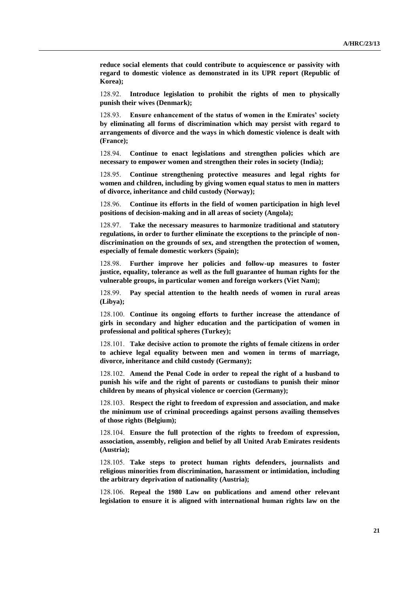**reduce social elements that could contribute to acquiescence or passivity with regard to domestic violence as demonstrated in its UPR report (Republic of Korea);**

128.92. **Introduce legislation to prohibit the rights of men to physically punish their wives (Denmark);**

128.93. **Ensure enhancement of the status of women in the Emirates' society by eliminating all forms of discrimination which may persist with regard to arrangements of divorce and the ways in which domestic violence is dealt with (France);**

128.94. **Continue to enact legislations and strengthen policies which are necessary to empower women and strengthen their roles in society (India);**

128.95. **Continue strengthening protective measures and legal rights for women and children, including by giving women equal status to men in matters of divorce, inheritance and child custody (Norway);**

128.96. **Continue its efforts in the field of women participation in high level positions of decision-making and in all areas of society (Angola);**

128.97. **Take the necessary measures to harmonize traditional and statutory regulations, in order to further eliminate the exceptions to the principle of nondiscrimination on the grounds of sex, and strengthen the protection of women, especially of female domestic workers (Spain);**

128.98. **Further improve her policies and follow-up measures to foster justice, equality, tolerance as well as the full guarantee of human rights for the vulnerable groups, in particular women and foreign workers (Viet Nam);**

128.99. **Pay special attention to the health needs of women in rural areas (Libya);**

128.100. **Continue its ongoing efforts to further increase the attendance of girls in secondary and higher education and the participation of women in professional and political spheres (Turkey);**

128.101. **Take decisive action to promote the rights of female citizens in order to achieve legal equality between men and women in terms of marriage, divorce, inheritance and child custody (Germany);**

128.102. **Amend the Penal Code in order to repeal the right of a husband to punish his wife and the right of parents or custodians to punish their minor children by means of physical violence or coercion (Germany);**

128.103. **Respect the right to freedom of expression and association, and make the minimum use of criminal proceedings against persons availing themselves of those rights (Belgium);**

128.104. **Ensure the full protection of the rights to freedom of expression, association, assembly, religion and belief by all United Arab Emirates residents (Austria);**

128.105. **Take steps to protect human rights defenders, journalists and religious minorities from discrimination, harassment or intimidation, including the arbitrary deprivation of nationality (Austria);**

128.106. **Repeal the 1980 Law on publications and amend other relevant legislation to ensure it is aligned with international human rights law on the**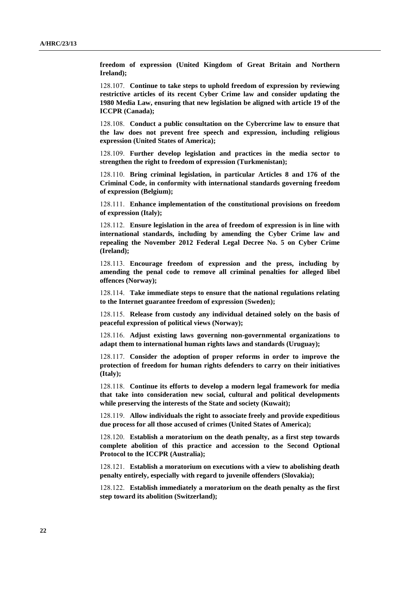**freedom of expression (United Kingdom of Great Britain and Northern Ireland);**

128.107. **Continue to take steps to uphold freedom of expression by reviewing restrictive articles of its recent Cyber Crime law and consider updating the 1980 Media Law, ensuring that new legislation be aligned with article 19 of the ICCPR (Canada);**

128.108. **Conduct a public consultation on the Cybercrime law to ensure that the law does not prevent free speech and expression, including religious expression (United States of America);**

128.109. **Further develop legislation and practices in the media sector to strengthen the right to freedom of expression (Turkmenistan);**

128.110. **Bring criminal legislation, in particular Articles 8 and 176 of the Criminal Code, in conformity with international standards governing freedom of expression (Belgium);**

128.111. **Enhance implementation of the constitutional provisions on freedom of expression (Italy);**

128.112. **Ensure legislation in the area of freedom of expression is in line with international standards, including by amending the Cyber Crime law and repealing the November 2012 Federal Legal Decree No. 5 on Cyber Crime (Ireland);**

128.113. **Encourage freedom of expression and the press, including by amending the penal code to remove all criminal penalties for alleged libel offences (Norway);**

128.114. **Take immediate steps to ensure that the national regulations relating to the Internet guarantee freedom of expression (Sweden);**

128.115. **Release from custody any individual detained solely on the basis of peaceful expression of political views (Norway);**

128.116. **Adjust existing laws governing non-governmental organizations to adapt them to international human rights laws and standards (Uruguay);**

128.117. **Consider the adoption of proper reforms in order to improve the protection of freedom for human rights defenders to carry on their initiatives (Italy);**

128.118. **Continue its efforts to develop a modern legal framework for media that take into consideration new social, cultural and political developments while preserving the interests of the State and society (Kuwait);**

128.119. **Allow individuals the right to associate freely and provide expeditious due process for all those accused of crimes (United States of America);**

128.120. **Establish a moratorium on the death penalty, as a first step towards complete abolition of this practice and accession to the Second Optional Protocol to the ICCPR (Australia);**

128.121. **Establish a moratorium on executions with a view to abolishing death penalty entirely, especially with regard to juvenile offenders (Slovakia);**

128.122. **Establish immediately a moratorium on the death penalty as the first step toward its abolition (Switzerland);**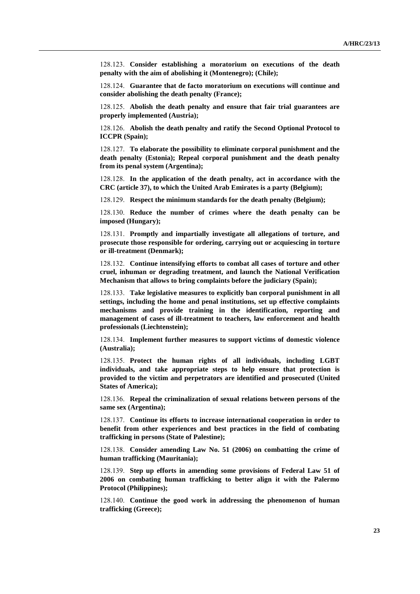128.123. **Consider establishing a moratorium on executions of the death penalty with the aim of abolishing it (Montenegro); (Chile);**

128.124. **Guarantee that de facto moratorium on executions will continue and consider abolishing the death penalty (France);**

128.125. **Abolish the death penalty and ensure that fair trial guarantees are properly implemented (Austria);**

128.126. **Abolish the death penalty and ratify the Second Optional Protocol to ICCPR (Spain);**

128.127. **To elaborate the possibility to eliminate corporal punishment and the death penalty (Estonia); Repeal corporal punishment and the death penalty from its penal system (Argentina);**

128.128. **In the application of the death penalty, act in accordance with the CRC (article 37), to which the United Arab Emirates is a party (Belgium);**

128.129. **Respect the minimum standards for the death penalty (Belgium);**

128.130. **Reduce the number of crimes where the death penalty can be imposed (Hungary);**

128.131. **Promptly and impartially investigate all allegations of torture, and prosecute those responsible for ordering, carrying out or acquiescing in torture or ill-treatment (Denmark);**

128.132. **Continue intensifying efforts to combat all cases of torture and other cruel, inhuman or degrading treatment, and launch the National Verification Mechanism that allows to bring complaints before the judiciary (Spain);**

128.133. **Take legislative measures to explicitly ban corporal punishment in all settings, including the home and penal institutions, set up effective complaints mechanisms and provide training in the identification, reporting and management of cases of ill-treatment to teachers, law enforcement and health professionals (Liechtenstein);**

128.134. **Implement further measures to support victims of domestic violence (Australia);**

128.135. **Protect the human rights of all individuals, including LGBT individuals, and take appropriate steps to help ensure that protection is provided to the victim and perpetrators are identified and prosecuted (United States of America);**

128.136. **Repeal the criminalization of sexual relations between persons of the same sex (Argentina);**

128.137. **Continue its efforts to increase international cooperation in order to benefit from other experiences and best practices in the field of combating trafficking in persons (State of Palestine);**

128.138. **Consider amending Law No. 51 (2006) on combatting the crime of human trafficking (Mauritania);**

128.139. **Step up efforts in amending some provisions of Federal Law 51 of 2006 on combating human trafficking to better align it with the Palermo Protocol (Philippines);**

128.140. **Continue the good work in addressing the phenomenon of human trafficking (Greece);**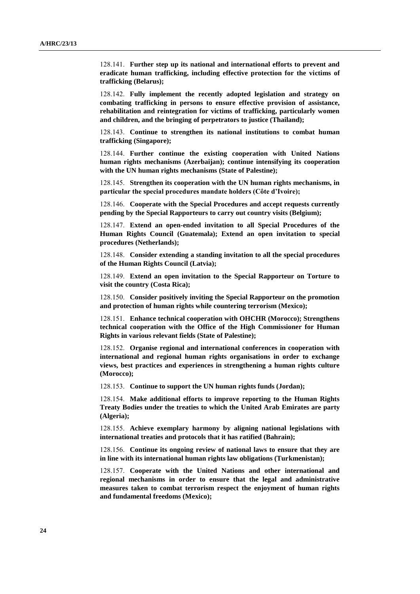128.141. **Further step up its national and international efforts to prevent and eradicate human trafficking, including effective protection for the victims of trafficking (Belarus);**

128.142. **Fully implement the recently adopted legislation and strategy on combating trafficking in persons to ensure effective provision of assistance, rehabilitation and reintegration for victims of trafficking, particularly women and children, and the bringing of perpetrators to justice (Thailand);**

128.143. **Continue to strengthen its national institutions to combat human trafficking (Singapore);**

128.144. **Further continue the existing cooperation with United Nations human rights mechanisms (Azerbaijan); continue intensifying its cooperation with the UN human rights mechanisms (State of Palestine);**

128.145. **Strengthen its cooperation with the UN human rights mechanisms, in particular the special procedures mandate holders (Côte d'Ivoire);**

128.146. **Cooperate with the Special Procedures and accept requests currently pending by the Special Rapporteurs to carry out country visits (Belgium);**

128.147. **Extend an open-ended invitation to all Special Procedures of the Human Rights Council (Guatemala); Extend an open invitation to special procedures (Netherlands);**

128.148. **Consider extending a standing invitation to all the special procedures of the Human Rights Council (Latvia);**

128.149. **Extend an open invitation to the Special Rapporteur on Torture to visit the country (Costa Rica);**

128.150. **Consider positively inviting the Special Rapporteur on the promotion and protection of human rights while countering terrorism (Mexico);**

128.151. **Enhance technical cooperation with OHCHR (Morocco); Strengthens technical cooperation with the Office of the High Commissioner for Human Rights in various relevant fields (State of Palestine);**

128.152. **Organise regional and international conferences in cooperation with international and regional human rights organisations in order to exchange views, best practices and experiences in strengthening a human rights culture (Morocco);**

128.153. **Continue to support the UN human rights funds (Jordan);**

128.154. **Make additional efforts to improve reporting to the Human Rights Treaty Bodies under the treaties to which the United Arab Emirates are party (Algeria);**

128.155. **Achieve exemplary harmony by aligning national legislations with international treaties and protocols that it has ratified (Bahrain);**

128.156. **Continue its ongoing review of national laws to ensure that they are in line with its international human rights law obligations (Turkmenistan);**

128.157. **Cooperate with the United Nations and other international and regional mechanisms in order to ensure that the legal and administrative measures taken to combat terrorism respect the enjoyment of human rights and fundamental freedoms (Mexico);**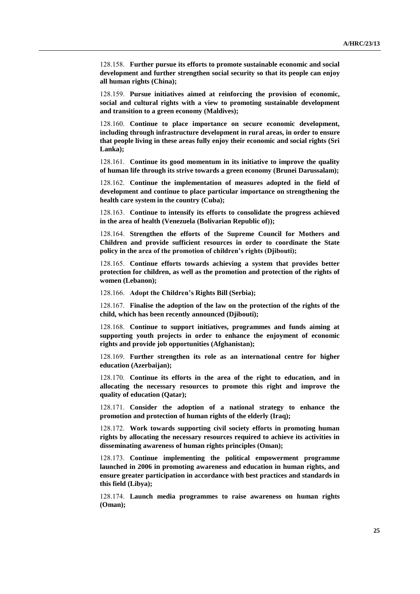128.158. **Further pursue its efforts to promote sustainable economic and social development and further strengthen social security so that its people can enjoy all human rights (China);**

128.159. **Pursue initiatives aimed at reinforcing the provision of economic, social and cultural rights with a view to promoting sustainable development and transition to a green economy (Maldives);**

128.160. **Continue to place importance on secure economic development, including through infrastructure development in rural areas, in order to ensure that people living in these areas fully enjoy their economic and social rights (Sri Lanka);**

128.161. **Continue its good momentum in its initiative to improve the quality of human life through its strive towards a green economy (Brunei Darussalam);**

128.162. **Continue the implementation of measures adopted in the field of development and continue to place particular importance on strengthening the health care system in the country (Cuba);**

128.163. **Continue to intensify its efforts to consolidate the progress achieved in the area of health (Venezuela (Bolivarian Republic of));**

128.164. **Strengthen the efforts of the Supreme Council for Mothers and Children and provide sufficient resources in order to coordinate the State policy in the area of the promotion of children's rights (Djibouti);**

128.165. **Continue efforts towards achieving a system that provides better protection for children, as well as the promotion and protection of the rights of women (Lebanon);**

128.166. **Adopt the Children's Rights Bill (Serbia);**

128.167. **Finalise the adoption of the law on the protection of the rights of the child, which has been recently announced (Djibouti);**

128.168. **Continue to support initiatives, programmes and funds aiming at supporting youth projects in order to enhance the enjoyment of economic rights and provide job opportunities (Afghanistan);**

128.169. **Further strengthen its role as an international centre for higher education (Azerbaijan);**

128.170. **Continue its efforts in the area of the right to education, and in allocating the necessary resources to promote this right and improve the quality of education (Qatar);**

128.171. **Consider the adoption of a national strategy to enhance the promotion and protection of human rights of the elderly (Iraq);**

128.172. **Work towards supporting civil society efforts in promoting human rights by allocating the necessary resources required to achieve its activities in disseminating awareness of human rights principles (Oman);**

128.173. **Continue implementing the political empowerment programme launched in 2006 in promoting awareness and education in human rights, and ensure greater participation in accordance with best practices and standards in this field (Libya);**

128.174. **Launch media programmes to raise awareness on human rights (Oman);**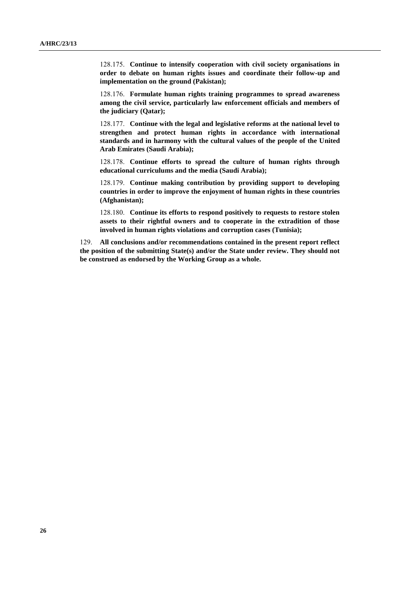128.175. **Continue to intensify cooperation with civil society organisations in order to debate on human rights issues and coordinate their follow-up and implementation on the ground (Pakistan);**

128.176. **Formulate human rights training programmes to spread awareness among the civil service, particularly law enforcement officials and members of the judiciary (Qatar);**

128.177. **Continue with the legal and legislative reforms at the national level to strengthen and protect human rights in accordance with international standards and in harmony with the cultural values of the people of the United Arab Emirates (Saudi Arabia);**

128.178. **Continue efforts to spread the culture of human rights through educational curriculums and the media (Saudi Arabia);**

128.179. **Continue making contribution by providing support to developing countries in order to improve the enjoyment of human rights in these countries (Afghanistan);**

128.180. **Continue its efforts to respond positively to requests to restore stolen assets to their rightful owners and to cooperate in the extradition of those involved in human rights violations and corruption cases (Tunisia);**

129. **All conclusions and/or recommendations contained in the present report reflect the position of the submitting State(s) and/or the State under review. They should not be construed as endorsed by the Working Group as a whole.**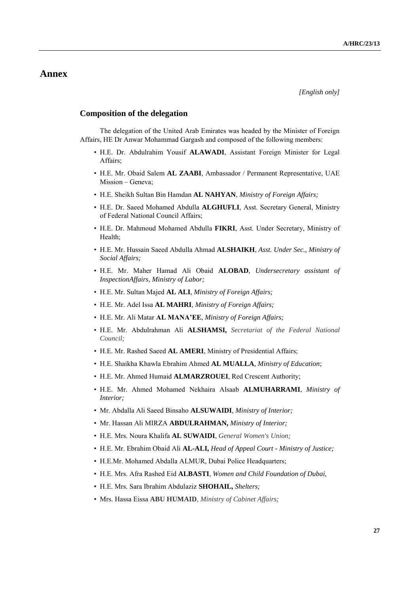# **Annex**

#### **Composition of the delegation**

The delegation of the United Arab Emirates was headed by the Minister of Foreign Affairs, HE Dr Anwar Mohammad Gargash and composed of the following members:

- H.E. Dr. Abdulrahim Yousif **ALAWADI**, Assistant Foreign Minister for Legal Affairs;
- H.E. Mr. Obaid Salem **AL ZAABI**, Ambassador / Permanent Representative, UAE Mission – Geneva;
- H.E. Sheikh Sultan Bin Hamdan **AL NAHYAN**, *Ministry of Foreign Affairs;*
- H.E. Dr. Saeed Mohamed Abdulla **ALGHUFLI**, Asst. Secretary General, Ministry of Federal National Council Affairs;
- H.E. Dr. Mahmoud Mohamed Abdulla **FIKRI**, Asst. Under Secretary, Ministry of Health;
- H.E. Mr. Hussain Saeed Abdulla Ahmad **ALSHAIKH**, *Asst. Under Sec., Ministry of Social Affairs;*
- H.E. Mr. Maher Hamad Ali Obaid **ALOBAD**, *Undersecretary assistant of InspectionAffairs, Ministry of Labor;*
- H.E. Mr. Sultan Majed **AL ALI**, *Ministry of Foreign Affairs;*
- H.E. Mr. Adel Issa **AL MAHRI**, *Ministry of Foreign Affairs;*
- H.E. Mr. Ali Matar **AL MANA'EE**, *Ministry of Foreign Affairs;*
- H.E. Mr. Abdulrahman Ali **ALSHAMSI,** *Secretariat of the Federal National Council;*
- H.E. Mr. Rashed Saeed **AL AMERI**, Ministry of Presidential Affairs;
- H.E. Shaikha Khawla Ebrahim Ahmed **AL MUALLA***, Ministry of Education*;
- H.E. Mr. Ahmed Humaid **ALMARZROUEI**, Red Crescent Authority;
- H.E. Mr. Ahmed Mohamed Nekhaira Alsaab **ALMUHARRAMI**, *Ministry of Interior;*
- Mr. Abdalla Ali Saeed Binsaho **ALSUWAIDI**, *Ministry of Interior;*
- Mr. Hassan Ali MIRZA **ABDULRAHMAN,** *Ministry of Interior;*
- H.E. Mrs. Noura Khalifa **AL SUWAIDI**, *General Women's Union;*
- H.E. Mr. Ebrahim Obaid Ali **AL-ALI,** *Head of Appeal Court - Ministry of Justice;*
- H.E.Mr. Mohamed Abdalla ALMUR, Dubai Police Headquarters;
- H.E. Mrs. Afra Rashed Eid **ALBASTI**, *Women and Child Foundation of Dubai,*
- H.E. Mrs. Sara Ibrahim Abdulaziz **SHOHAIL,** *Shelters;*
- Mrs. Hassa Eissa **ABU HUMAID***, Ministry of Cabinet Affairs;*